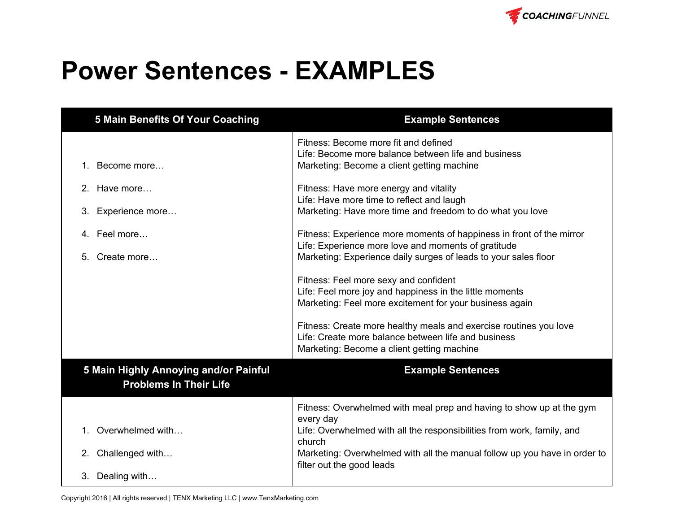

## **Power Sentences EXAMPLES**

| <b>5 Main Benefits Of Your Coaching</b>                                | <b>Example Sentences</b>                                                                                                                                                                                                                                                                                                                                                                                                                                                                                                                |
|------------------------------------------------------------------------|-----------------------------------------------------------------------------------------------------------------------------------------------------------------------------------------------------------------------------------------------------------------------------------------------------------------------------------------------------------------------------------------------------------------------------------------------------------------------------------------------------------------------------------------|
| 1. Become more                                                         | Fitness: Become more fit and defined<br>Life: Become more balance between life and business<br>Marketing: Become a client getting machine                                                                                                                                                                                                                                                                                                                                                                                               |
| 2. Have more<br>3.<br>Experience more                                  | Fitness: Have more energy and vitality<br>Life: Have more time to reflect and laugh<br>Marketing: Have more time and freedom to do what you love                                                                                                                                                                                                                                                                                                                                                                                        |
| 4. Feel more<br>Create more<br>5.                                      | Fitness: Experience more moments of happiness in front of the mirror<br>Life: Experience more love and moments of gratitude<br>Marketing: Experience daily surges of leads to your sales floor<br>Fitness: Feel more sexy and confident<br>Life: Feel more joy and happiness in the little moments<br>Marketing: Feel more excitement for your business again<br>Fitness: Create more healthy meals and exercise routines you love<br>Life: Create more balance between life and business<br>Marketing: Become a client getting machine |
| 5 Main Highly Annoying and/or Painful<br><b>Problems In Their Life</b> | <b>Example Sentences</b>                                                                                                                                                                                                                                                                                                                                                                                                                                                                                                                |
| 1. Overwhelmed with<br>2. Challenged with<br>3. Dealing with           | Fitness: Overwhelmed with meal prep and having to show up at the gym<br>every day<br>Life: Overwhelmed with all the responsibilities from work, family, and<br>church<br>Marketing: Overwhelmed with all the manual follow up you have in order to<br>filter out the good leads                                                                                                                                                                                                                                                         |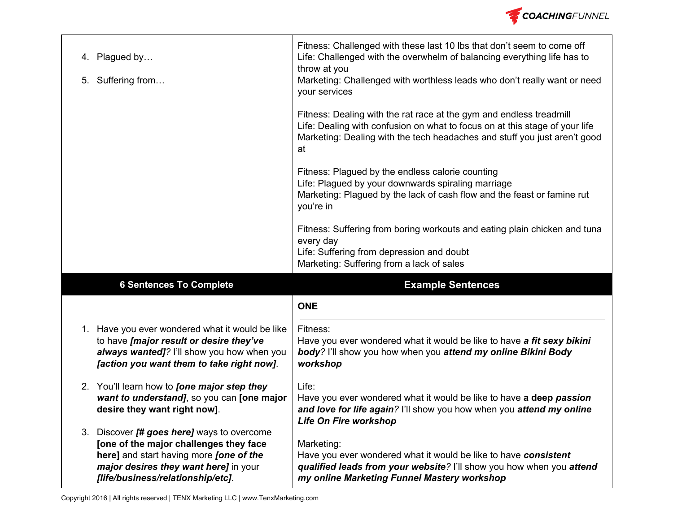

| 4. Plagued by<br>5. Suffering from                                                                                                                                                    | Fitness: Challenged with these last 10 lbs that don't seem to come off<br>Life: Challenged with the overwhelm of balancing everything life has to<br>throw at you<br>Marketing: Challenged with worthless leads who don't really want or need<br>your services |
|---------------------------------------------------------------------------------------------------------------------------------------------------------------------------------------|----------------------------------------------------------------------------------------------------------------------------------------------------------------------------------------------------------------------------------------------------------------|
|                                                                                                                                                                                       | Fitness: Dealing with the rat race at the gym and endless treadmill<br>Life: Dealing with confusion on what to focus on at this stage of your life<br>Marketing: Dealing with the tech headaches and stuff you just aren't good<br>at                          |
|                                                                                                                                                                                       | Fitness: Plagued by the endless calorie counting<br>Life: Plagued by your downwards spiraling marriage<br>Marketing: Plagued by the lack of cash flow and the feast or famine rut<br>you're in                                                                 |
|                                                                                                                                                                                       | Fitness: Suffering from boring workouts and eating plain chicken and tuna<br>every day<br>Life: Suffering from depression and doubt<br>Marketing: Suffering from a lack of sales                                                                               |
|                                                                                                                                                                                       |                                                                                                                                                                                                                                                                |
| <b>6 Sentences To Complete</b>                                                                                                                                                        | <b>Example Sentences</b>                                                                                                                                                                                                                                       |
|                                                                                                                                                                                       | <b>ONE</b>                                                                                                                                                                                                                                                     |
| 1. Have you ever wondered what it would be like<br>to have [major result or desire they've<br>always wanted]? I'll show you how when you<br>[action you want them to take right now]. | Fitness:<br>Have you ever wondered what it would be like to have a fit sexy bikini<br>body? I'll show you how when you attend my online Bikini Body<br>workshop                                                                                                |
| 2. You'll learn how to <i>[one major step they</i><br>want to understand], so you can [one major<br>desire they want right now].<br>3. Discover [# goes here] ways to overcome        | Life:<br>Have you ever wondered what it would be like to have a deep passion<br>and love for life again? I'll show you how when you attend my online<br>Life On Fire workshop                                                                                  |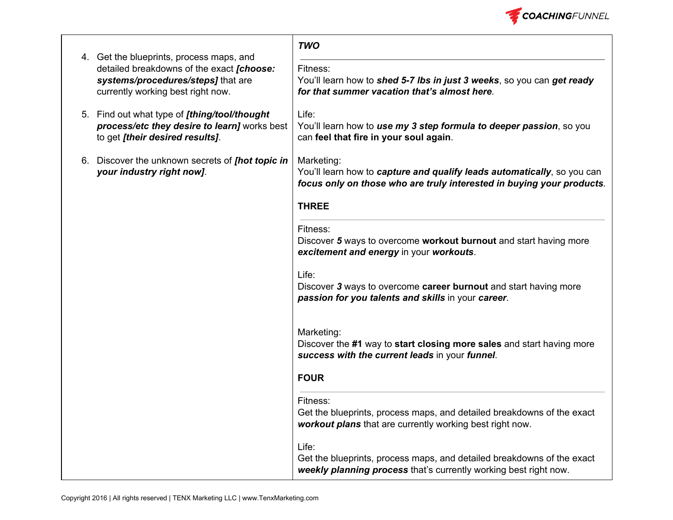

|                                                                                                                                                                  | <b>TWO</b>                                                                                                                                                     |
|------------------------------------------------------------------------------------------------------------------------------------------------------------------|----------------------------------------------------------------------------------------------------------------------------------------------------------------|
| 4. Get the blueprints, process maps, and<br>detailed breakdowns of the exact [choose:<br>systems/procedures/steps] that are<br>currently working best right now. | Fitness:<br>You'll learn how to shed 5-7 lbs in just 3 weeks, so you can get ready<br>for that summer vacation that's almost here.                             |
| 5. Find out what type of [thing/tool/thought<br>process/etc they desire to learn] works best<br>to get [their desired results].                                  | Life:<br>You'll learn how to use my 3 step formula to deeper passion, so you<br>can feel that fire in your soul again.                                         |
| 6. Discover the unknown secrets of [hot topic in<br>your industry right now].                                                                                    | Marketing:<br>You'll learn how to capture and qualify leads automatically, so you can<br>focus only on those who are truly interested in buying your products. |
|                                                                                                                                                                  | <b>THREE</b>                                                                                                                                                   |
|                                                                                                                                                                  | Fitness:<br>Discover 5 ways to overcome workout burnout and start having more<br>excitement and energy in your workouts.                                       |
|                                                                                                                                                                  | Life:<br>Discover 3 ways to overcome career burnout and start having more<br>passion for you talents and skills in your career.                                |
|                                                                                                                                                                  | Marketing:<br>Discover the #1 way to start closing more sales and start having more<br>success with the current leads in your funnel.                          |
|                                                                                                                                                                  | <b>FOUR</b>                                                                                                                                                    |
|                                                                                                                                                                  | Fitness:<br>Get the blueprints, process maps, and detailed breakdowns of the exact<br>workout plans that are currently working best right now.                 |
|                                                                                                                                                                  | Life:<br>Get the blueprints, process maps, and detailed breakdowns of the exact<br>weekly planning process that's currently working best right now.            |